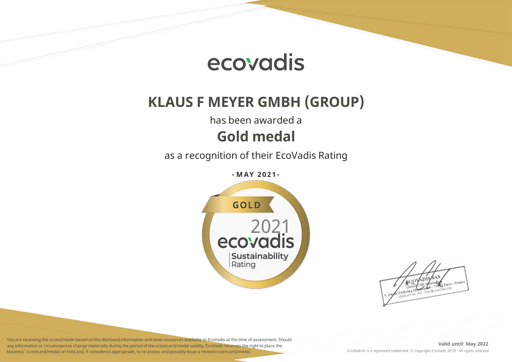

# **KLAUS F MEYER GMBH (GROUP)**

has been awarded a

## **Gold medal**

as a recognition of their EcoVadis Rating

**- M AY 2 0 2 1 -**



You are receiving this score/medal based on the disclosed information and news resources available to EcoVadis at the time of assessment. Should any information or circumstances change materially during the period of the scorecard/medal validity, EcoVadis reserves the right to place the business' scorecard/medal on hold and, if considered appropriate, to re-assess and possibly issue a revised scorecard/medal.